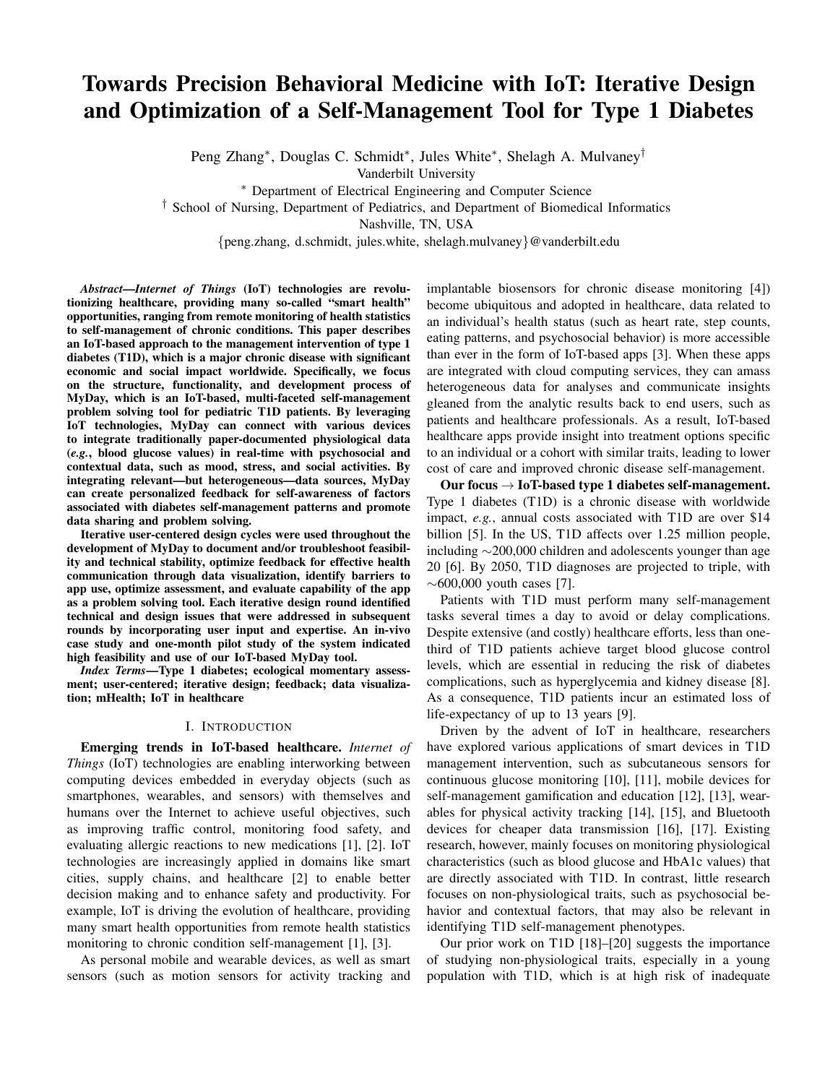# Towards Precision Behavioral Medicine with IoT: Iterative Design and Optimization of a Self-Management Tool for Type 1 Diabetes

Peng Zhang<sup>∗</sup>, Douglas C. Schmidt<sup>∗</sup>, Jules White<sup>∗</sup>, Shelagh A. Mulvaney<sup>†</sup>

Vanderbilt University

<sup>∗</sup> Department of Electrical Engineering and Computer Science

† School of Nursing, Department of Pediatrics, and Department of Biomedical Informatics

Nashville, TN, USA

{peng.zhang, d.schmidt, jules.white, shelagh.mulvaney}@vanderbilt.edu

*Abstract*—*Internet of Things* (IoT) technologies are revolutionizing healthcare, providing many so-called "smart health" opportunities, ranging from remote monitoring of health statistics to self-management of chronic conditions. This paper describes an IoT-based approach to the management intervention of type 1 diabetes (T1D), which is a major chronic disease with significant economic and social impact worldwide. Specifically, we focus on the structure, functionality, and development process of MyDay, which is an IoT-based, multi-faceted self-management problem solving tool for pediatric T1D patients. By leveraging IoT technologies, MyDay can connect with various devices to integrate traditionally paper-documented physiological data (*e.g.*, blood glucose values) in real-time with psychosocial and contextual data, such as mood, stress, and social activities. By integrating relevant—but heterogeneous—data sources, MyDay can create personalized feedback for self-awareness of factors associated with diabetes self-management patterns and promote data sharing and problem solving.

Iterative user-centered design cycles were used throughout the development of MyDay to document and/or troubleshoot feasibility and technical stability, optimize feedback for effective health communication through data visualization, identify barriers to app use, optimize assessment, and evaluate capability of the app as a problem solving tool. Each iterative design round identified technical and design issues that were addressed in subsequent rounds by incorporating user input and expertise. An in-vivo case study and one-month pilot study of the system indicated high feasibility and use of our IoT-based MyDay tool.

*Index Terms*—Type 1 diabetes; ecological momentary assessment; user-centered; iterative design; feedback; data visualization; mHealth; IoT in healthcare

## I. INTRODUCTION

Emerging trends in IoT-based healthcare. *Internet of Things* (IoT) technologies are enabling interworking between computing devices embedded in everyday objects (such as smartphones, wearables, and sensors) with themselves and humans over the Internet to achieve useful objectives, such as improving traffic control, monitoring food safety, and evaluating allergic reactions to new medications [1], [2]. IoT technologies are increasingly applied in domains like smart cities, supply chains, and healthcare [2] to enable better decision making and to enhance safety and productivity. For example, IoT is driving the evolution of healthcare, providing many smart health opportunities from remote health statistics monitoring to chronic condition self-management [1], [3].

As personal mobile and wearable devices, as well as smart sensors (such as motion sensors for activity tracking and implantable biosensors for chronic disease monitoring [4]) become ubiquitous and adopted in healthcare, data related to an individual's health status (such as heart rate, step counts, eating patterns, and psychosocial behavior) is more accessible than ever in the form of IoT-based apps [3]. When these apps are integrated with cloud computing services, they can amass heterogeneous data for analyses and communicate insights gleaned from the analytic results back to end users, such as patients and healthcare professionals. As a result, IoT-based healthcare apps provide insight into treatment options specific to an individual or a cohort with similar traits, leading to lower cost of care and improved chronic disease self-management.

Our focus  $\rightarrow$  IoT-based type 1 diabetes self-management. Type 1 diabetes (T1D) is a chronic disease with worldwide impact, *e.g.*, annual costs associated with T1D are over \$14 billion [5]. In the US, T1D affects over 1.25 million people, including ∼200,000 children and adolescents younger than age 20 [6]. By 2050, T1D diagnoses are projected to triple, with  $\sim$ 600,000 youth cases [7].

Patients with T1D must perform many self-management tasks several times a day to avoid or delay complications. Despite extensive (and costly) healthcare efforts, less than onethird of T1D patients achieve target blood glucose control levels, which are essential in reducing the risk of diabetes complications, such as hyperglycemia and kidney disease [8]. As a consequence, T1D patients incur an estimated loss of life-expectancy of up to 13 years [9].

Driven by the advent of IoT in healthcare, researchers have explored various applications of smart devices in T1D management intervention, such as subcutaneous sensors for continuous glucose monitoring [10], [11], mobile devices for self-management gamification and education [12], [13], wearables for physical activity tracking [14], [15], and Bluetooth devices for cheaper data transmission [16], [17]. Existing research, however, mainly focuses on monitoring physiological characteristics (such as blood glucose and HbA1c values) that are directly associated with T1D. In contrast, little research focuses on non-physiological traits, such as psychosocial behavior and contextual factors, that may also be relevant in identifying T1D self-management phenotypes.

Our prior work on T1D [18]–[20] suggests the importance of studying non-physiological traits, especially in a young population with T1D, which is at high risk of inadequate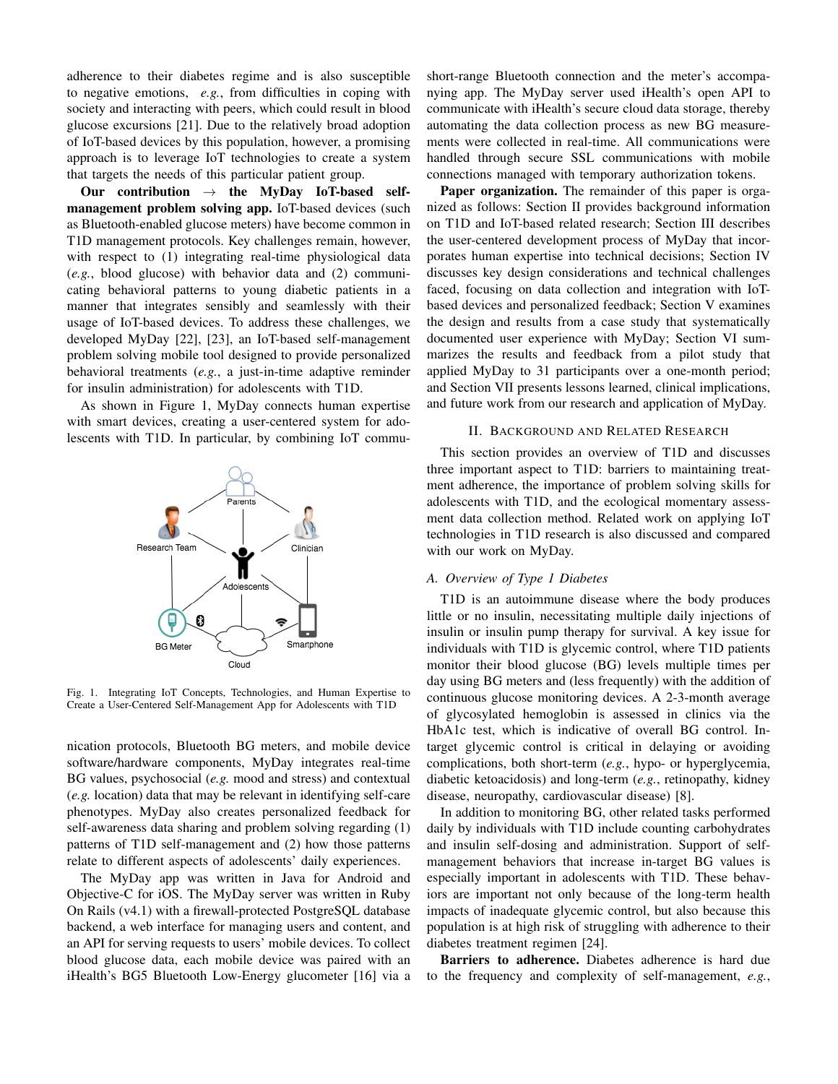adherence to their diabetes regime and is also susceptible to negative emotions, *e.g.*, from difficulties in coping with society and interacting with peers, which could result in blood glucose excursions [21]. Due to the relatively broad adoption of IoT-based devices by this population, however, a promising approach is to leverage IoT technologies to create a system that targets the needs of this particular patient group.

Our contribution  $\rightarrow$  the MyDay IoT-based selfmanagement problem solving app. IoT-based devices (such as Bluetooth-enabled glucose meters) have become common in T1D management protocols. Key challenges remain, however, with respect to (1) integrating real-time physiological data (*e.g.*, blood glucose) with behavior data and (2) communicating behavioral patterns to young diabetic patients in a manner that integrates sensibly and seamlessly with their usage of IoT-based devices. To address these challenges, we developed MyDay [22], [23], an IoT-based self-management problem solving mobile tool designed to provide personalized behavioral treatments (*e.g.*, a just-in-time adaptive reminder for insulin administration) for adolescents with T1D.

As shown in Figure 1, MyDay connects human expertise with smart devices, creating a user-centered system for adolescents with T1D. In particular, by combining IoT commu-



Fig. 1. Integrating IoT Concepts, Technologies, and Human Expertise to Create a User-Centered Self-Management App for Adolescents with T1D

nication protocols, Bluetooth BG meters, and mobile device software/hardware components, MyDay integrates real-time BG values, psychosocial (*e.g.* mood and stress) and contextual (*e.g.* location) data that may be relevant in identifying self-care phenotypes. MyDay also creates personalized feedback for self-awareness data sharing and problem solving regarding (1) patterns of T1D self-management and (2) how those patterns relate to different aspects of adolescents' daily experiences.

The MyDay app was written in Java for Android and Objective-C for iOS. The MyDay server was written in Ruby On Rails (v4.1) with a firewall-protected PostgreSQL database backend, a web interface for managing users and content, and an API for serving requests to users' mobile devices. To collect blood glucose data, each mobile device was paired with an iHealth's BG5 Bluetooth Low-Energy glucometer [16] via a short-range Bluetooth connection and the meter's accompanying app. The MyDay server used iHealth's open API to communicate with iHealth's secure cloud data storage, thereby automating the data collection process as new BG measurements were collected in real-time. All communications were handled through secure SSL communications with mobile connections managed with temporary authorization tokens.

Paper organization. The remainder of this paper is organized as follows: Section II provides background information on T1D and IoT-based related research; Section III describes the user-centered development process of MyDay that incorporates human expertise into technical decisions; Section IV discusses key design considerations and technical challenges faced, focusing on data collection and integration with IoTbased devices and personalized feedback; Section V examines the design and results from a case study that systematically documented user experience with MyDay; Section VI summarizes the results and feedback from a pilot study that applied MyDay to 31 participants over a one-month period; and Section VII presents lessons learned, clinical implications, and future work from our research and application of MyDay.

# II. BACKGROUND AND RELATED RESEARCH

This section provides an overview of T1D and discusses three important aspect to T1D: barriers to maintaining treatment adherence, the importance of problem solving skills for adolescents with T1D, and the ecological momentary assessment data collection method. Related work on applying IoT technologies in T1D research is also discussed and compared with our work on MyDay.

## *A. Overview of Type 1 Diabetes*

T1D is an autoimmune disease where the body produces little or no insulin, necessitating multiple daily injections of insulin or insulin pump therapy for survival. A key issue for individuals with T1D is glycemic control, where T1D patients monitor their blood glucose (BG) levels multiple times per day using BG meters and (less frequently) with the addition of continuous glucose monitoring devices. A 2-3-month average of glycosylated hemoglobin is assessed in clinics via the HbA1c test, which is indicative of overall BG control. Intarget glycemic control is critical in delaying or avoiding complications, both short-term (*e.g.*, hypo- or hyperglycemia, diabetic ketoacidosis) and long-term (*e.g.*, retinopathy, kidney disease, neuropathy, cardiovascular disease) [8].

In addition to monitoring BG, other related tasks performed daily by individuals with T1D include counting carbohydrates and insulin self-dosing and administration. Support of selfmanagement behaviors that increase in-target BG values is especially important in adolescents with T1D. These behaviors are important not only because of the long-term health impacts of inadequate glycemic control, but also because this population is at high risk of struggling with adherence to their diabetes treatment regimen [24].

Barriers to adherence. Diabetes adherence is hard due to the frequency and complexity of self-management, *e.g.*,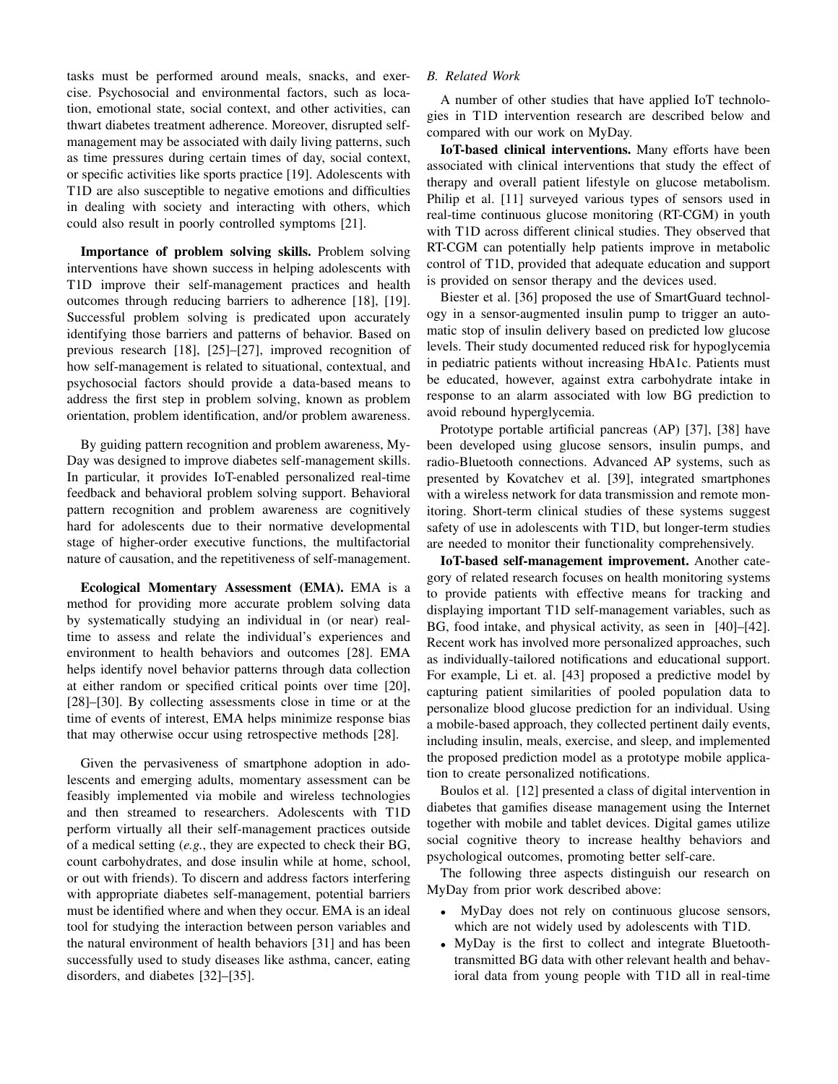tasks must be performed around meals, snacks, and exercise. Psychosocial and environmental factors, such as location, emotional state, social context, and other activities, can thwart diabetes treatment adherence. Moreover, disrupted selfmanagement may be associated with daily living patterns, such as time pressures during certain times of day, social context, or specific activities like sports practice [19]. Adolescents with T1D are also susceptible to negative emotions and difficulties in dealing with society and interacting with others, which could also result in poorly controlled symptoms [21].

Importance of problem solving skills. Problem solving interventions have shown success in helping adolescents with T1D improve their self-management practices and health outcomes through reducing barriers to adherence [18], [19]. Successful problem solving is predicated upon accurately identifying those barriers and patterns of behavior. Based on previous research [18], [25]–[27], improved recognition of how self-management is related to situational, contextual, and psychosocial factors should provide a data-based means to address the first step in problem solving, known as problem orientation, problem identification, and/or problem awareness.

By guiding pattern recognition and problem awareness, My-Day was designed to improve diabetes self-management skills. In particular, it provides IoT-enabled personalized real-time feedback and behavioral problem solving support. Behavioral pattern recognition and problem awareness are cognitively hard for adolescents due to their normative developmental stage of higher-order executive functions, the multifactorial nature of causation, and the repetitiveness of self-management.

Ecological Momentary Assessment (EMA). EMA is a method for providing more accurate problem solving data by systematically studying an individual in (or near) realtime to assess and relate the individual's experiences and environment to health behaviors and outcomes [28]. EMA helps identify novel behavior patterns through data collection at either random or specified critical points over time [20], [28]–[30]. By collecting assessments close in time or at the time of events of interest, EMA helps minimize response bias that may otherwise occur using retrospective methods [28].

Given the pervasiveness of smartphone adoption in adolescents and emerging adults, momentary assessment can be feasibly implemented via mobile and wireless technologies and then streamed to researchers. Adolescents with T1D perform virtually all their self-management practices outside of a medical setting (*e.g.*, they are expected to check their BG, count carbohydrates, and dose insulin while at home, school, or out with friends). To discern and address factors interfering with appropriate diabetes self-management, potential barriers must be identified where and when they occur. EMA is an ideal tool for studying the interaction between person variables and the natural environment of health behaviors [31] and has been successfully used to study diseases like asthma, cancer, eating disorders, and diabetes [32]–[35].

# *B. Related Work*

A number of other studies that have applied IoT technologies in T1D intervention research are described below and compared with our work on MyDay.

IoT-based clinical interventions. Many efforts have been associated with clinical interventions that study the effect of therapy and overall patient lifestyle on glucose metabolism. Philip et al. [11] surveyed various types of sensors used in real-time continuous glucose monitoring (RT-CGM) in youth with T1D across different clinical studies. They observed that RT-CGM can potentially help patients improve in metabolic control of T1D, provided that adequate education and support is provided on sensor therapy and the devices used.

Biester et al. [36] proposed the use of SmartGuard technology in a sensor-augmented insulin pump to trigger an automatic stop of insulin delivery based on predicted low glucose levels. Their study documented reduced risk for hypoglycemia in pediatric patients without increasing HbA1c. Patients must be educated, however, against extra carbohydrate intake in response to an alarm associated with low BG prediction to avoid rebound hyperglycemia.

Prototype portable artificial pancreas (AP) [37], [38] have been developed using glucose sensors, insulin pumps, and radio-Bluetooth connections. Advanced AP systems, such as presented by Kovatchev et al. [39], integrated smartphones with a wireless network for data transmission and remote monitoring. Short-term clinical studies of these systems suggest safety of use in adolescents with T1D, but longer-term studies are needed to monitor their functionality comprehensively.

IoT-based self-management improvement. Another category of related research focuses on health monitoring systems to provide patients with effective means for tracking and displaying important T1D self-management variables, such as BG, food intake, and physical activity, as seen in [40]–[42]. Recent work has involved more personalized approaches, such as individually-tailored notifications and educational support. For example, Li et. al. [43] proposed a predictive model by capturing patient similarities of pooled population data to personalize blood glucose prediction for an individual. Using a mobile-based approach, they collected pertinent daily events, including insulin, meals, exercise, and sleep, and implemented the proposed prediction model as a prototype mobile application to create personalized notifications.

Boulos et al. [12] presented a class of digital intervention in diabetes that gamifies disease management using the Internet together with mobile and tablet devices. Digital games utilize social cognitive theory to increase healthy behaviors and psychological outcomes, promoting better self-care.

The following three aspects distinguish our research on MyDay from prior work described above:

- MyDay does not rely on continuous glucose sensors, which are not widely used by adolescents with T1D.
- MyDay is the first to collect and integrate Bluetoothtransmitted BG data with other relevant health and behavioral data from young people with T1D all in real-time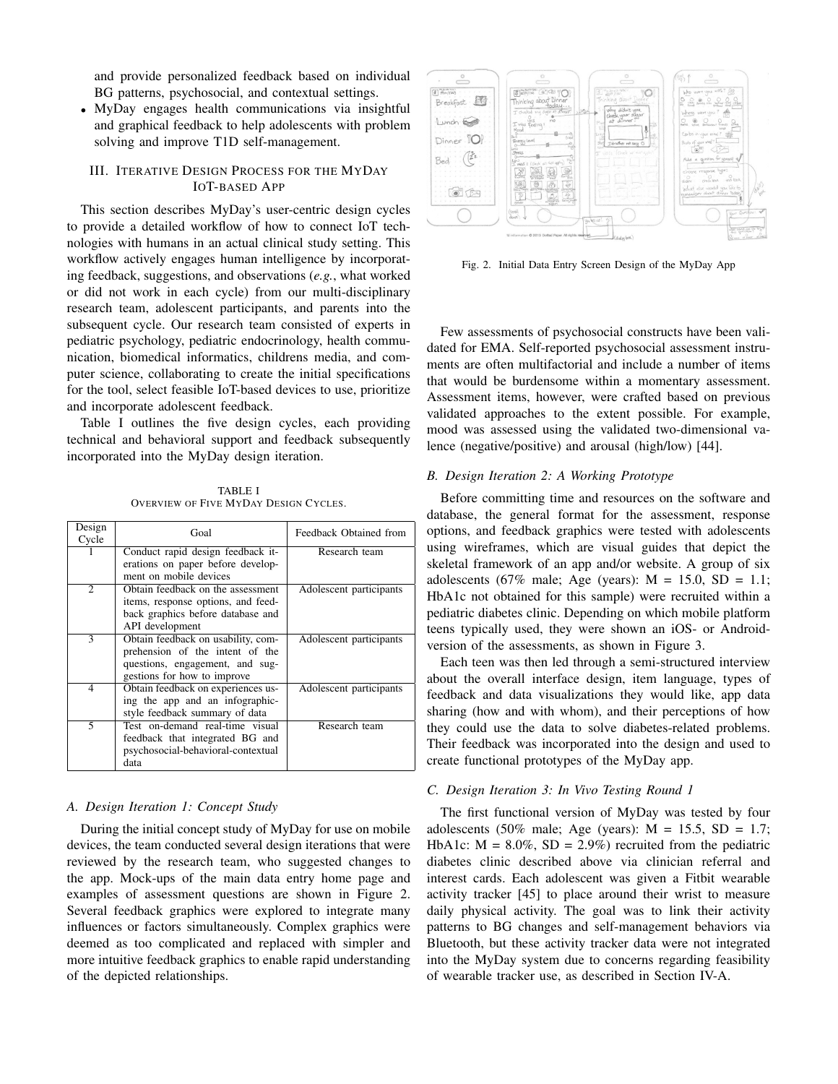and provide personalized feedback based on individual BG patterns, psychosocial, and contextual settings.

• MyDay engages health communications via insightful and graphical feedback to help adolescents with problem solving and improve T1D self-management.

## III. ITERATIVE DESIGN PROCESS FOR THE MYDAY IOT-BASED APP

This section describes MyDay's user-centric design cycles to provide a detailed workflow of how to connect IoT technologies with humans in an actual clinical study setting. This workflow actively engages human intelligence by incorporating feedback, suggestions, and observations (*e.g.*, what worked or did not work in each cycle) from our multi-disciplinary research team, adolescent participants, and parents into the subsequent cycle. Our research team consisted of experts in pediatric psychology, pediatric endocrinology, health communication, biomedical informatics, childrens media, and computer science, collaborating to create the initial specifications for the tool, select feasible IoT-based devices to use, prioritize and incorporate adolescent feedback.

Table I outlines the five design cycles, each providing technical and behavioral support and feedback subsequently incorporated into the MyDay design iteration.

TABLE I OVERVIEW OF FIVE MYDAY DESIGN CYCLES.

| Design<br>Cycle | Goal                                                                                                                                    | Feedback Obtained from  |
|-----------------|-----------------------------------------------------------------------------------------------------------------------------------------|-------------------------|
|                 | Conduct rapid design feedback it-<br>erations on paper before develop-<br>ment on mobile devices                                        | Research team           |
| 2               | Obtain feedback on the assessment<br>items, response options, and feed-<br>back graphics before database and<br>API development         | Adolescent participants |
| 3               | Obtain feedback on usability, com-<br>prehension of the intent of the<br>questions, engagement, and sug-<br>gestions for how to improve | Adolescent participants |
| $\overline{4}$  | Obtain feedback on experiences us-<br>ing the app and an infographic-<br>style feedback summary of data                                 | Adolescent participants |
| 5               | Test on-demand real-time visual<br>feedback that integrated BG and<br>psychosocial-behavioral-contextual<br>data                        | Research team           |

## *A. Design Iteration 1: Concept Study*

During the initial concept study of MyDay for use on mobile devices, the team conducted several design iterations that were reviewed by the research team, who suggested changes to the app. Mock-ups of the main data entry home page and examples of assessment questions are shown in Figure 2. Several feedback graphics were explored to integrate many influences or factors simultaneously. Complex graphics were deemed as too complicated and replaced with simpler and more intuitive feedback graphics to enable rapid understanding of the depicted relationships.



Fig. 2. Initial Data Entry Screen Design of the MyDay App

Few assessments of psychosocial constructs have been validated for EMA. Self-reported psychosocial assessment instruments are often multifactorial and include a number of items that would be burdensome within a momentary assessment. Assessment items, however, were crafted based on previous validated approaches to the extent possible. For example, mood was assessed using the validated two-dimensional valence (negative/positive) and arousal (high/low) [44].

# *B. Design Iteration 2: A Working Prototype*

Before committing time and resources on the software and database, the general format for the assessment, response options, and feedback graphics were tested with adolescents using wireframes, which are visual guides that depict the skeletal framework of an app and/or website. A group of six adolescents (67% male; Age (years):  $M = 15.0$ ,  $SD = 1.1$ ; HbA1c not obtained for this sample) were recruited within a pediatric diabetes clinic. Depending on which mobile platform teens typically used, they were shown an iOS- or Androidversion of the assessments, as shown in Figure 3.

Each teen was then led through a semi-structured interview about the overall interface design, item language, types of feedback and data visualizations they would like, app data sharing (how and with whom), and their perceptions of how they could use the data to solve diabetes-related problems. Their feedback was incorporated into the design and used to create functional prototypes of the MyDay app.

# *C. Design Iteration 3: In Vivo Testing Round 1*

The first functional version of MyDay was tested by four adolescents (50% male; Age (years):  $M = 15.5$ , SD = 1.7; HbA1c:  $M = 8.0\%$ ,  $SD = 2.9\%$  recruited from the pediatric diabetes clinic described above via clinician referral and interest cards. Each adolescent was given a Fitbit wearable activity tracker [45] to place around their wrist to measure daily physical activity. The goal was to link their activity patterns to BG changes and self-management behaviors via Bluetooth, but these activity tracker data were not integrated into the MyDay system due to concerns regarding feasibility of wearable tracker use, as described in Section IV-A.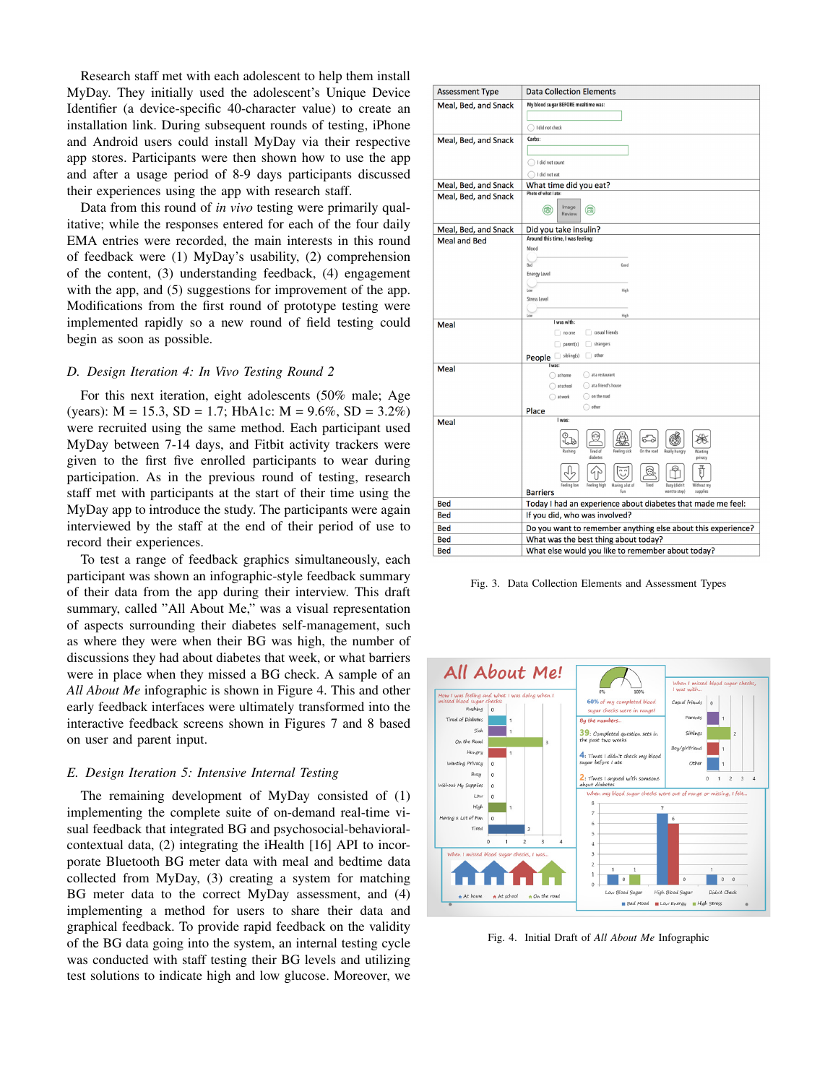Research staff met with each adolescent to help them install MyDay. They initially used the adolescent's Unique Device Identifier (a device-specific 40-character value) to create an installation link. During subsequent rounds of testing, iPhone and Android users could install MyDay via their respective app stores. Participants were then shown how to use the app and after a usage period of 8-9 days participants discussed their experiences using the app with research staff.

Data from this round of *in vivo* testing were primarily qualitative; while the responses entered for each of the four daily EMA entries were recorded, the main interests in this round of feedback were (1) MyDay's usability, (2) comprehension of the content, (3) understanding feedback, (4) engagement with the app, and  $(5)$  suggestions for improvement of the app. Modifications from the first round of prototype testing were implemented rapidly so a new round of field testing could begin as soon as possible.

#### *D. Design Iteration 4: In Vivo Testing Round 2*

For this next iteration, eight adolescents (50% male; Age (years):  $M = 15.3$ ,  $SD = 1.7$ ;  $HbA1c$ :  $M = 9.6\%$ ,  $SD = 3.2\%$ ) were recruited using the same method. Each participant used MyDay between 7-14 days, and Fitbit activity trackers were given to the first five enrolled participants to wear during participation. As in the previous round of testing, research staff met with participants at the start of their time using the MyDay app to introduce the study. The participants were again interviewed by the staff at the end of their period of use to record their experiences.

To test a range of feedback graphics simultaneously, each participant was shown an infographic-style feedback summary of their data from the app during their interview. This draft summary, called "All About Me," was a visual representation of aspects surrounding their diabetes self-management, such as where they were when their BG was high, the number of discussions they had about diabetes that week, or what barriers were in place when they missed a BG check. A sample of an *All About Me* infographic is shown in Figure 4. This and other early feedback interfaces were ultimately transformed into the interactive feedback screens shown in Figures 7 and 8 based on user and parent input.

#### *E. Design Iteration 5: Intensive Internal Testing*

The remaining development of MyDay consisted of (1) implementing the complete suite of on-demand real-time visual feedback that integrated BG and psychosocial-behavioralcontextual data, (2) integrating the iHealth [16] API to incorporate Bluetooth BG meter data with meal and bedtime data collected from MyDay, (3) creating a system for matching BG meter data to the correct MyDay assessment, and (4) implementing a method for users to share their data and graphical feedback. To provide rapid feedback on the validity of the BG data going into the system, an internal testing cycle was conducted with staff testing their BG levels and utilizing test solutions to indicate high and low glucose. Moreover, we

| <b>Assessment Type</b> | <b>Data Collection Elements</b>                                                                                              |  |
|------------------------|------------------------------------------------------------------------------------------------------------------------------|--|
| Meal, Bed, and Snack   | My blood sugar BEFORE mealtime was:                                                                                          |  |
|                        |                                                                                                                              |  |
|                        | I did not check                                                                                                              |  |
| Meal, Bed, and Snack   | Carbs:                                                                                                                       |  |
|                        |                                                                                                                              |  |
|                        | I did not count                                                                                                              |  |
|                        | I did not eat                                                                                                                |  |
| Meal, Bed, and Snack   | What time did you eat?                                                                                                       |  |
| Meal, Bed, and Snack   | Photo of what I ate:                                                                                                         |  |
|                        | Image<br>65)<br>(Q)<br>Review                                                                                                |  |
| Meal, Bed, and Snack   | Did you take insulin?                                                                                                        |  |
| <b>Meal and Bed</b>    | Around this time, I was feeling:                                                                                             |  |
|                        | Mood                                                                                                                         |  |
|                        | Good<br>Bad                                                                                                                  |  |
|                        | <b>Energy Level</b>                                                                                                          |  |
|                        | High<br>low                                                                                                                  |  |
|                        | <b>Stress Level</b>                                                                                                          |  |
|                        | High<br>Lour                                                                                                                 |  |
| Meal                   | I was with:                                                                                                                  |  |
|                        | casual friends<br>$\sqrt{ }$ no one                                                                                          |  |
|                        | strangers<br>parent(s)                                                                                                       |  |
|                        | other<br>$\Box$ sibling(s)<br>People                                                                                         |  |
| Meal                   | I was:<br>at a restaurant<br>at home                                                                                         |  |
|                        | at a friend's house<br>at school                                                                                             |  |
|                        | on the road<br>at work                                                                                                       |  |
|                        | other<br>Place                                                                                                               |  |
| Meal                   | I was:                                                                                                                       |  |
|                        |                                                                                                                              |  |
|                        | æ<br>ĦЕ<br>뵤                                                                                                                 |  |
|                        | Rushing<br>On the road<br>Tired of<br>Feeling sick<br>Really hungry<br>Wanting<br>diabetes<br>privacy                        |  |
|                        |                                                                                                                              |  |
|                        | Ü                                                                                                                            |  |
|                        | Feeling low<br>Feeling high<br>Having a lot of<br>Busy (didn't<br>Without my<br>want to stop)<br>supplies<br><b>Barriers</b> |  |
| <b>Bed</b>             | Today I had an experience about diabetes that made me feel:                                                                  |  |
| <b>Bed</b>             | If you did, who was involved?                                                                                                |  |
|                        |                                                                                                                              |  |
| Bed<br><b>Bed</b>      | Do you want to remember anything else about this experience?<br>What was the best thing about today?                         |  |
| Bed                    | What else would you like to remember about today?                                                                            |  |
|                        |                                                                                                                              |  |

Fig. 3. Data Collection Elements and Assessment Types



Fig. 4. Initial Draft of *All About Me* Infographic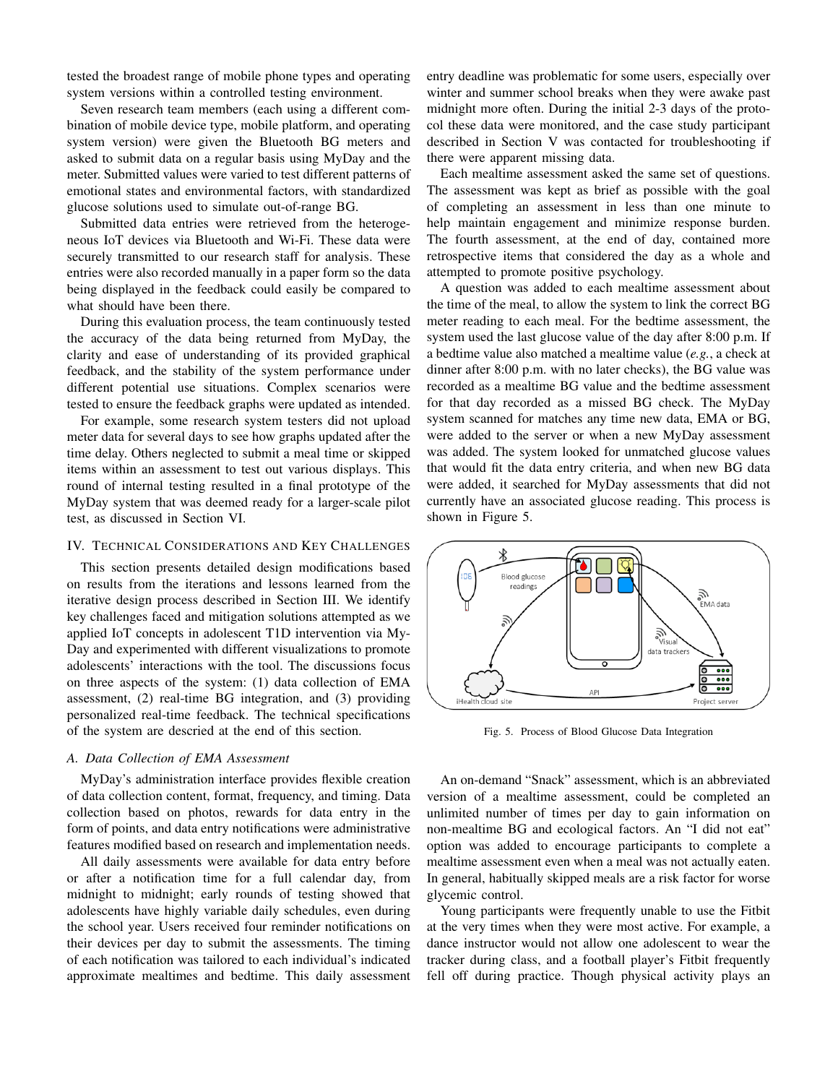tested the broadest range of mobile phone types and operating system versions within a controlled testing environment.

Seven research team members (each using a different combination of mobile device type, mobile platform, and operating system version) were given the Bluetooth BG meters and asked to submit data on a regular basis using MyDay and the meter. Submitted values were varied to test different patterns of emotional states and environmental factors, with standardized glucose solutions used to simulate out-of-range BG.

Submitted data entries were retrieved from the heterogeneous IoT devices via Bluetooth and Wi-Fi. These data were securely transmitted to our research staff for analysis. These entries were also recorded manually in a paper form so the data being displayed in the feedback could easily be compared to what should have been there.

During this evaluation process, the team continuously tested the accuracy of the data being returned from MyDay, the clarity and ease of understanding of its provided graphical feedback, and the stability of the system performance under different potential use situations. Complex scenarios were tested to ensure the feedback graphs were updated as intended.

For example, some research system testers did not upload meter data for several days to see how graphs updated after the time delay. Others neglected to submit a meal time or skipped items within an assessment to test out various displays. This round of internal testing resulted in a final prototype of the MyDay system that was deemed ready for a larger-scale pilot test, as discussed in Section VI.

## IV. TECHNICAL CONSIDERATIONS AND KEY CHALLENGES

This section presents detailed design modifications based on results from the iterations and lessons learned from the iterative design process described in Section III. We identify key challenges faced and mitigation solutions attempted as we applied IoT concepts in adolescent T1D intervention via My-Day and experimented with different visualizations to promote adolescents' interactions with the tool. The discussions focus on three aspects of the system: (1) data collection of EMA assessment, (2) real-time BG integration, and (3) providing personalized real-time feedback. The technical specifications of the system are descried at the end of this section.

## *A. Data Collection of EMA Assessment*

MyDay's administration interface provides flexible creation of data collection content, format, frequency, and timing. Data collection based on photos, rewards for data entry in the form of points, and data entry notifications were administrative features modified based on research and implementation needs.

All daily assessments were available for data entry before or after a notification time for a full calendar day, from midnight to midnight; early rounds of testing showed that adolescents have highly variable daily schedules, even during the school year. Users received four reminder notifications on their devices per day to submit the assessments. The timing of each notification was tailored to each individual's indicated approximate mealtimes and bedtime. This daily assessment entry deadline was problematic for some users, especially over winter and summer school breaks when they were awake past midnight more often. During the initial 2-3 days of the protocol these data were monitored, and the case study participant described in Section V was contacted for troubleshooting if there were apparent missing data.

Each mealtime assessment asked the same set of questions. The assessment was kept as brief as possible with the goal of completing an assessment in less than one minute to help maintain engagement and minimize response burden. The fourth assessment, at the end of day, contained more retrospective items that considered the day as a whole and attempted to promote positive psychology.

A question was added to each mealtime assessment about the time of the meal, to allow the system to link the correct BG meter reading to each meal. For the bedtime assessment, the system used the last glucose value of the day after 8:00 p.m. If a bedtime value also matched a mealtime value (*e.g.*, a check at dinner after 8:00 p.m. with no later checks), the BG value was recorded as a mealtime BG value and the bedtime assessment for that day recorded as a missed BG check. The MyDay system scanned for matches any time new data, EMA or BG, were added to the server or when a new MyDay assessment was added. The system looked for unmatched glucose values that would fit the data entry criteria, and when new BG data were added, it searched for MyDay assessments that did not currently have an associated glucose reading. This process is shown in Figure 5.



Fig. 5. Process of Blood Glucose Data Integration

An on-demand "Snack" assessment, which is an abbreviated version of a mealtime assessment, could be completed an unlimited number of times per day to gain information on non-mealtime BG and ecological factors. An "I did not eat" option was added to encourage participants to complete a mealtime assessment even when a meal was not actually eaten. In general, habitually skipped meals are a risk factor for worse glycemic control.

Young participants were frequently unable to use the Fitbit at the very times when they were most active. For example, a dance instructor would not allow one adolescent to wear the tracker during class, and a football player's Fitbit frequently fell off during practice. Though physical activity plays an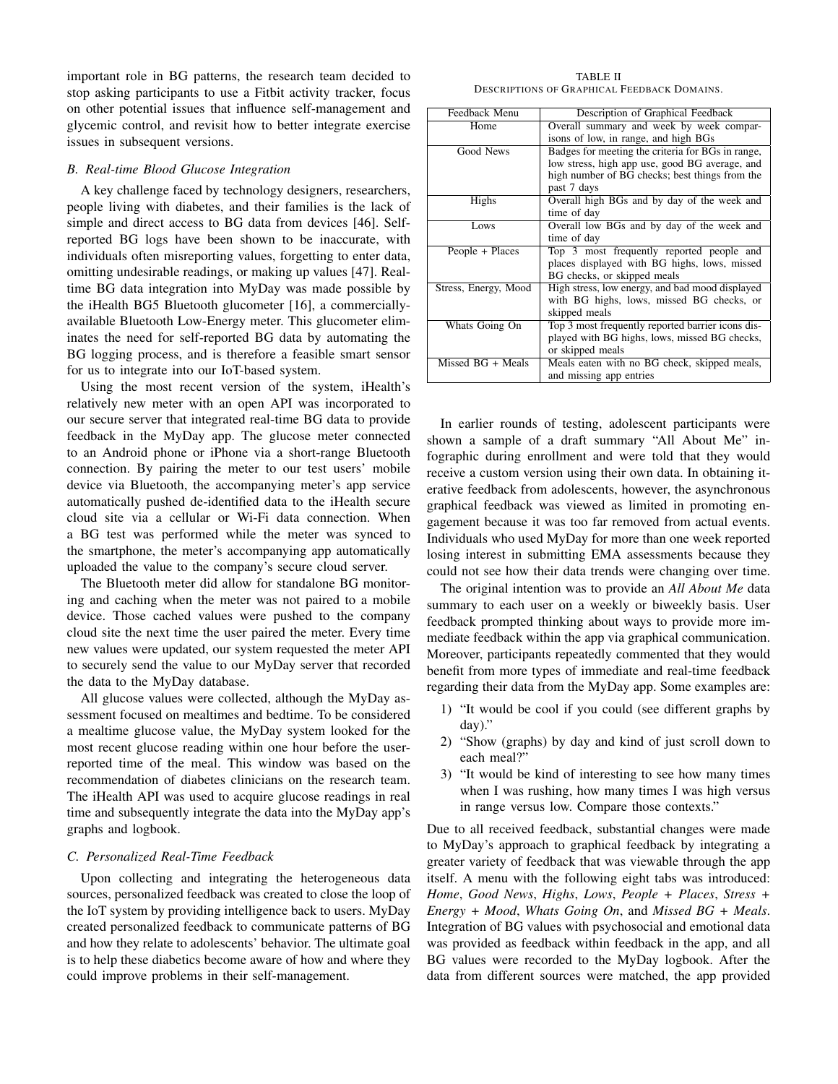important role in BG patterns, the research team decided to stop asking participants to use a Fitbit activity tracker, focus on other potential issues that influence self-management and glycemic control, and revisit how to better integrate exercise issues in subsequent versions.

#### *B. Real-time Blood Glucose Integration*

A key challenge faced by technology designers, researchers, people living with diabetes, and their families is the lack of simple and direct access to BG data from devices [46]. Selfreported BG logs have been shown to be inaccurate, with individuals often misreporting values, forgetting to enter data, omitting undesirable readings, or making up values [47]. Realtime BG data integration into MyDay was made possible by the iHealth BG5 Bluetooth glucometer [16], a commerciallyavailable Bluetooth Low-Energy meter. This glucometer eliminates the need for self-reported BG data by automating the BG logging process, and is therefore a feasible smart sensor for us to integrate into our IoT-based system.

Using the most recent version of the system, iHealth's relatively new meter with an open API was incorporated to our secure server that integrated real-time BG data to provide feedback in the MyDay app. The glucose meter connected to an Android phone or iPhone via a short-range Bluetooth connection. By pairing the meter to our test users' mobile device via Bluetooth, the accompanying meter's app service automatically pushed de-identified data to the iHealth secure cloud site via a cellular or Wi-Fi data connection. When a BG test was performed while the meter was synced to the smartphone, the meter's accompanying app automatically uploaded the value to the company's secure cloud server.

The Bluetooth meter did allow for standalone BG monitoring and caching when the meter was not paired to a mobile device. Those cached values were pushed to the company cloud site the next time the user paired the meter. Every time new values were updated, our system requested the meter API to securely send the value to our MyDay server that recorded the data to the MyDay database.

All glucose values were collected, although the MyDay assessment focused on mealtimes and bedtime. To be considered a mealtime glucose value, the MyDay system looked for the most recent glucose reading within one hour before the userreported time of the meal. This window was based on the recommendation of diabetes clinicians on the research team. The iHealth API was used to acquire glucose readings in real time and subsequently integrate the data into the MyDay app's graphs and logbook.

## *C. Personalized Real-Time Feedback*

Upon collecting and integrating the heterogeneous data sources, personalized feedback was created to close the loop of the IoT system by providing intelligence back to users. MyDay created personalized feedback to communicate patterns of BG and how they relate to adolescents' behavior. The ultimate goal is to help these diabetics become aware of how and where they could improve problems in their self-management.

TABLE II DESCRIPTIONS OF GRAPHICAL FEEDBACK DOMAINS.

| Feedback Menu        | Description of Graphical Feedback                 |  |
|----------------------|---------------------------------------------------|--|
| Home                 | Overall summary and week by week compar-          |  |
|                      | isons of low, in range, and high BGs              |  |
| Good News            | Badges for meeting the criteria for BGs in range, |  |
|                      | low stress, high app use, good BG average, and    |  |
|                      | high number of BG checks; best things from the    |  |
|                      | past 7 days                                       |  |
| Highs                | Overall high BGs and by day of the week and       |  |
|                      | time of day                                       |  |
| Lows                 | Overall low BGs and by day of the week and        |  |
|                      | time of day                                       |  |
| People + Places      | Top 3 most frequently reported people and         |  |
|                      | places displayed with BG highs, lows, missed      |  |
|                      | BG checks, or skipped meals                       |  |
| Stress, Energy, Mood | High stress, low energy, and bad mood displayed   |  |
|                      | with BG highs, lows, missed BG checks, or         |  |
|                      | skipped meals                                     |  |
| Whats Going On       | Top 3 most frequently reported barrier icons dis- |  |
|                      | played with BG highs, lows, missed BG checks,     |  |
|                      | or skipped meals                                  |  |
| Missed $BG + Meals$  | Meals eaten with no BG check, skipped meals,      |  |
|                      | and missing app entries                           |  |
|                      |                                                   |  |

In earlier rounds of testing, adolescent participants were shown a sample of a draft summary "All About Me" infographic during enrollment and were told that they would receive a custom version using their own data. In obtaining iterative feedback from adolescents, however, the asynchronous graphical feedback was viewed as limited in promoting engagement because it was too far removed from actual events. Individuals who used MyDay for more than one week reported losing interest in submitting EMA assessments because they could not see how their data trends were changing over time.

The original intention was to provide an *All About Me* data summary to each user on a weekly or biweekly basis. User feedback prompted thinking about ways to provide more immediate feedback within the app via graphical communication. Moreover, participants repeatedly commented that they would benefit from more types of immediate and real-time feedback regarding their data from the MyDay app. Some examples are:

- 1) "It would be cool if you could (see different graphs by day)."
- 2) "Show (graphs) by day and kind of just scroll down to each meal?"
- 3) "It would be kind of interesting to see how many times when I was rushing, how many times I was high versus in range versus low. Compare those contexts."

Due to all received feedback, substantial changes were made to MyDay's approach to graphical feedback by integrating a greater variety of feedback that was viewable through the app itself. A menu with the following eight tabs was introduced: *Home*, *Good News*, *Highs*, *Lows*, *People + Places*, *Stress + Energy + Mood*, *Whats Going On*, and *Missed BG + Meals*. Integration of BG values with psychosocial and emotional data was provided as feedback within feedback in the app, and all BG values were recorded to the MyDay logbook. After the data from different sources were matched, the app provided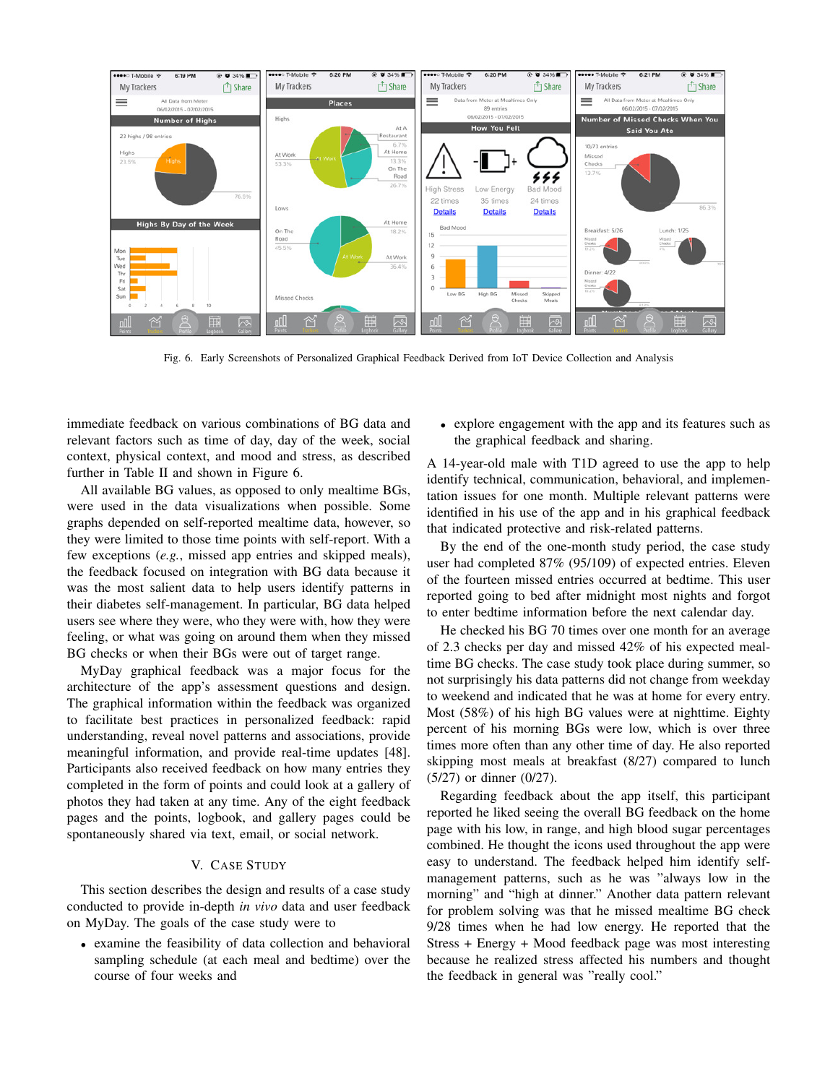

Fig. 6. Early Screenshots of Personalized Graphical Feedback Derived from IoT Device Collection and Analysis

immediate feedback on various combinations of BG data and relevant factors such as time of day, day of the week, social context, physical context, and mood and stress, as described further in Table II and shown in Figure 6.

All available BG values, as opposed to only mealtime BGs, were used in the data visualizations when possible. Some graphs depended on self-reported mealtime data, however, so they were limited to those time points with self-report. With a few exceptions (*e.g.*, missed app entries and skipped meals), the feedback focused on integration with BG data because it was the most salient data to help users identify patterns in their diabetes self-management. In particular, BG data helped users see where they were, who they were with, how they were feeling, or what was going on around them when they missed BG checks or when their BGs were out of target range.

MyDay graphical feedback was a major focus for the architecture of the app's assessment questions and design. The graphical information within the feedback was organized to facilitate best practices in personalized feedback: rapid understanding, reveal novel patterns and associations, provide meaningful information, and provide real-time updates [48]. Participants also received feedback on how many entries they completed in the form of points and could look at a gallery of photos they had taken at any time. Any of the eight feedback pages and the points, logbook, and gallery pages could be spontaneously shared via text, email, or social network.

# V. CASE STUDY

This section describes the design and results of a case study conducted to provide in-depth *in vivo* data and user feedback on MyDay. The goals of the case study were to

• examine the feasibility of data collection and behavioral sampling schedule (at each meal and bedtime) over the course of four weeks and

• explore engagement with the app and its features such as the graphical feedback and sharing.

A 14-year-old male with T1D agreed to use the app to help identify technical, communication, behavioral, and implementation issues for one month. Multiple relevant patterns were identified in his use of the app and in his graphical feedback that indicated protective and risk-related patterns.

By the end of the one-month study period, the case study user had completed 87% (95/109) of expected entries. Eleven of the fourteen missed entries occurred at bedtime. This user reported going to bed after midnight most nights and forgot to enter bedtime information before the next calendar day.

He checked his BG 70 times over one month for an average of 2.3 checks per day and missed 42% of his expected mealtime BG checks. The case study took place during summer, so not surprisingly his data patterns did not change from weekday to weekend and indicated that he was at home for every entry. Most (58%) of his high BG values were at nighttime. Eighty percent of his morning BGs were low, which is over three times more often than any other time of day. He also reported skipping most meals at breakfast (8/27) compared to lunch (5/27) or dinner (0/27).

Regarding feedback about the app itself, this participant reported he liked seeing the overall BG feedback on the home page with his low, in range, and high blood sugar percentages combined. He thought the icons used throughout the app were easy to understand. The feedback helped him identify selfmanagement patterns, such as he was "always low in the morning" and "high at dinner." Another data pattern relevant for problem solving was that he missed mealtime BG check 9/28 times when he had low energy. He reported that the Stress + Energy + Mood feedback page was most interesting because he realized stress affected his numbers and thought the feedback in general was "really cool."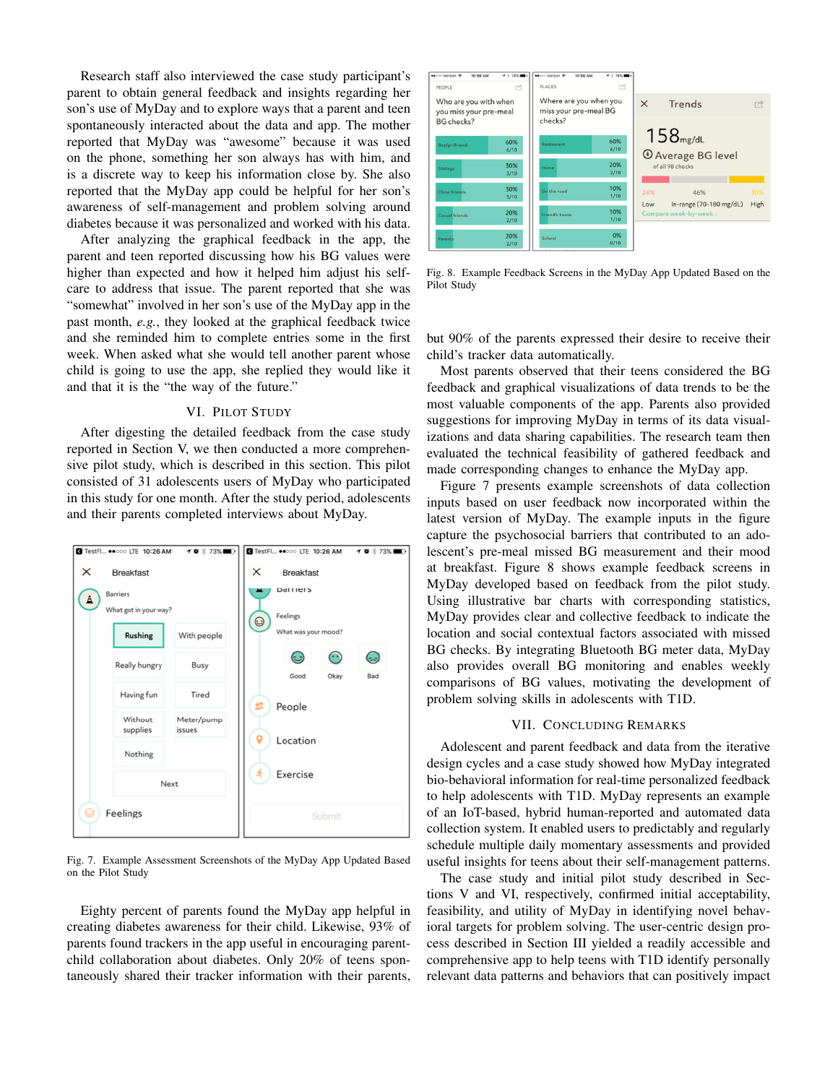Research staff also interviewed the case study participant's parent to obtain general feedback and insights regarding her son's use of MyDay and to explore ways that a parent and teen spontaneously interacted about the data and app. The mother reported that MyDay was "awesome" because it was used on the phone, something her son always has with him, and is a discrete way to keep his information close by. She also reported that the MyDay app could be helpful for her son's awareness of self-management and problem solving around diabetes because it was personalized and worked with his data.

After analyzing the graphical feedback in the app, the parent and teen reported discussing how his BG values were higher than expected and how it helped him adjust his selfcare to address that issue. The parent reported that she was "somewhat" involved in her son's use of the MyDay app in the past month, *e.g.*, they looked at the graphical feedback twice and she reminded him to complete entries some in the first week. When asked what she would tell another parent whose child is going to use the app, she replied they would like it and that it is the "the way of the future."

#### VI. PILOT STUDY

After digesting the detailed feedback from the case study reported in Section V, we then conducted a more comprehensive pilot study, which is described in this section. This pilot consisted of 31 adolescents users of MyDay who participated in this study for one month. After the study period, adolescents and their parents completed interviews about MyDay.



Fig. 7. Example Assessment Screenshots of the MyDay App Updated Based on the Pilot Study

Eighty percent of parents found the MyDay app helpful in creating diabetes awareness for their child. Likewise, 93% of parents found trackers in the app useful in encouraging parentchild collaboration about diabetes. Only 20% of teens spontaneously shared their tracker information with their parents,



Fig. 8. Example Feedback Screens in the MyDay App Updated Based on the Pilot Study

but 90% of the parents expressed their desire to receive their child's tracker data automatically.

Most parents observed that their teens considered the BG feedback and graphical visualizations of data trends to be the most valuable components of the app. Parents also provided suggestions for improving MyDay in terms of its data visualizations and data sharing capabilities. The research team then evaluated the technical feasibility of gathered feedback and made corresponding changes to enhance the MyDay app.

Figure 7 presents example screenshots of data collection inputs based on user feedback now incorporated within the latest version of MyDay. The example inputs in the figure capture the psychosocial barriers that contributed to an adolescent's pre-meal missed BG measurement and their mood at breakfast. Figure 8 shows example feedback screens in MyDay developed based on feedback from the pilot study. Using illustrative bar charts with corresponding statistics, MyDay provides clear and collective feedback to indicate the location and social contextual factors associated with missed BG checks. By integrating Bluetooth BG meter data, MyDay also provides overall BG monitoring and enables weekly comparisons of BG values, motivating the development of problem solving skills in adolescents with T1D.

#### VII. CONCLUDING REMARKS

Adolescent and parent feedback and data from the iterative design cycles and a case study showed how MyDay integrated bio-behavioral information for real-time personalized feedback to help adolescents with T1D. MyDay represents an example of an IoT-based, hybrid human-reported and automated data collection system. It enabled users to predictably and regularly schedule multiple daily momentary assessments and provided useful insights for teens about their self-management patterns.

The case study and initial pilot study described in Sections V and VI, respectively, confirmed initial acceptability, feasibility, and utility of MyDay in identifying novel behavioral targets for problem solving. The user-centric design process described in Section III yielded a readily accessible and comprehensive app to help teens with T1D identify personally relevant data patterns and behaviors that can positively impact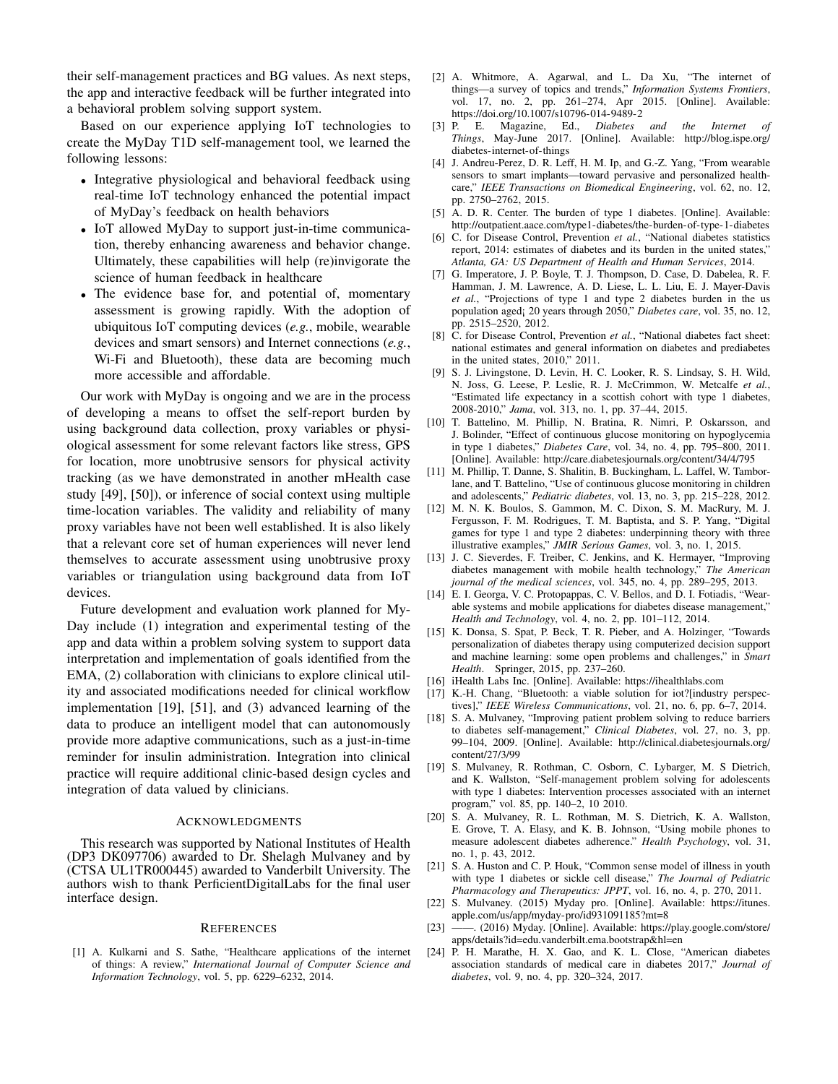their self-management practices and BG values. As next steps, the app and interactive feedback will be further integrated into a behavioral problem solving support system.

Based on our experience applying IoT technologies to create the MyDay T1D self-management tool, we learned the following lessons:

- Integrative physiological and behavioral feedback using real-time IoT technology enhanced the potential impact of MyDay's feedback on health behaviors
- IoT allowed MyDay to support just-in-time communication, thereby enhancing awareness and behavior change. Ultimately, these capabilities will help (re)invigorate the science of human feedback in healthcare
- The evidence base for, and potential of, momentary assessment is growing rapidly. With the adoption of ubiquitous IoT computing devices (*e.g.*, mobile, wearable devices and smart sensors) and Internet connections (*e.g.*, Wi-Fi and Bluetooth), these data are becoming much more accessible and affordable.

Our work with MyDay is ongoing and we are in the process of developing a means to offset the self-report burden by using background data collection, proxy variables or physiological assessment for some relevant factors like stress, GPS for location, more unobtrusive sensors for physical activity tracking (as we have demonstrated in another mHealth case study [49], [50]), or inference of social context using multiple time-location variables. The validity and reliability of many proxy variables have not been well established. It is also likely that a relevant core set of human experiences will never lend themselves to accurate assessment using unobtrusive proxy variables or triangulation using background data from IoT devices.

Future development and evaluation work planned for My-Day include (1) integration and experimental testing of the app and data within a problem solving system to support data interpretation and implementation of goals identified from the EMA, (2) collaboration with clinicians to explore clinical utility and associated modifications needed for clinical workflow implementation [19], [51], and (3) advanced learning of the data to produce an intelligent model that can autonomously provide more adaptive communications, such as a just-in-time reminder for insulin administration. Integration into clinical practice will require additional clinic-based design cycles and integration of data valued by clinicians.

## ACKNOWLEDGMENTS

This research was supported by National Institutes of Health (DP3 DK097706) awarded to Dr. Shelagh Mulvaney and by (CTSA UL1TR000445) awarded to Vanderbilt University. The authors wish to thank PerficientDigitalLabs for the final user interface design.

#### **REFERENCES**

[1] A. Kulkarni and S. Sathe, "Healthcare applications of the internet of things: A review," *International Journal of Computer Science and Information Technology*, vol. 5, pp. 6229–6232, 2014.

- [2] A. Whitmore, A. Agarwal, and L. Da Xu, "The internet of things—a survey of topics and trends," *Information Systems Frontiers*, vol. 17, no. 2, pp. 261–274, Apr 2015. [Online]. Available: https://doi.org/10.1007/s10796-014-9489-2
- [3] P. E. Magazine, Ed., *Diabetes and the Internet of Things*, May-June 2017. [Online]. Available: http://blog.ispe.org/ diabetes-internet-of-things
- [4] J. Andreu-Perez, D. R. Leff, H. M. Ip, and G.-Z. Yang, "From wearable sensors to smart implants—toward pervasive and personalized healthcare," *IEEE Transactions on Biomedical Engineering*, vol. 62, no. 12, pp. 2750–2762, 2015.
- [5] A. D. R. Center. The burden of type 1 diabetes. [Online]. Available: http://outpatient.aace.com/type1-diabetes/the-burden-of-type-1-diabetes
- [6] C. for Disease Control, Prevention *et al.*, "National diabetes statistics report, 2014: estimates of diabetes and its burden in the united states," *Atlanta, GA: US Department of Health and Human Services*, 2014.
- [7] G. Imperatore, J. P. Boyle, T. J. Thompson, D. Case, D. Dabelea, R. F. Hamman, J. M. Lawrence, A. D. Liese, L. L. Liu, E. J. Mayer-Davis *et al.*, "Projections of type 1 and type 2 diabetes burden in the us population aged¡ 20 years through 2050," *Diabetes care*, vol. 35, no. 12, pp. 2515–2520, 2012.
- [8] C. for Disease Control, Prevention et al., "National diabetes fact sheet: national estimates and general information on diabetes and prediabetes in the united states, 2010," 2011.
- [9] S. J. Livingstone, D. Levin, H. C. Looker, R. S. Lindsay, S. H. Wild, N. Joss, G. Leese, P. Leslie, R. J. McCrimmon, W. Metcalfe *et al.*, "Estimated life expectancy in a scottish cohort with type 1 diabetes, 2008-2010," *Jama*, vol. 313, no. 1, pp. 37–44, 2015.
- [10] T. Battelino, M. Phillip, N. Bratina, R. Nimri, P. Oskarsson, and J. Bolinder, "Effect of continuous glucose monitoring on hypoglycemia in type 1 diabetes," *Diabetes Care*, vol. 34, no. 4, pp. 795–800, 2011. [Online]. Available: http://care.diabetesjournals.org/content/34/4/795
- [11] M. Phillip, T. Danne, S. Shalitin, B. Buckingham, L. Laffel, W. Tamborlane, and T. Battelino, "Use of continuous glucose monitoring in children and adolescents," *Pediatric diabetes*, vol. 13, no. 3, pp. 215–228, 2012.
- [12] M. N. K. Boulos, S. Gammon, M. C. Dixon, S. M. MacRury, M. J. Fergusson, F. M. Rodrigues, T. M. Baptista, and S. P. Yang, "Digital games for type 1 and type 2 diabetes: underpinning theory with three illustrative examples," *JMIR Serious Games*, vol. 3, no. 1, 2015.
- [13] J. C. Sieverdes, F. Treiber, C. Jenkins, and K. Hermayer, "Improving diabetes management with mobile health technology," *The American journal of the medical sciences*, vol. 345, no. 4, pp. 289–295, 2013.
- [14] E. I. Georga, V. C. Protopappas, C. V. Bellos, and D. I. Fotiadis, "Wearable systems and mobile applications for diabetes disease management," *Health and Technology*, vol. 4, no. 2, pp. 101–112, 2014.
- [15] K. Donsa, S. Spat, P. Beck, T. R. Pieber, and A. Holzinger, "Towards personalization of diabetes therapy using computerized decision support and machine learning: some open problems and challenges," in *Smart Health*. Springer, 2015, pp. 237–260.
- [16] iHealth Labs Inc. [Online]. Available: https://ihealthlabs.com
- [17] K.-H. Chang, "Bluetooth: a viable solution for iot?[industry perspectives]," *IEEE Wireless Communications*, vol. 21, no. 6, pp. 6–7, 2014.
- [18] S. A. Mulvaney, "Improving patient problem solving to reduce barriers to diabetes self-management," *Clinical Diabetes*, vol. 27, no. 3, pp. 99–104, 2009. [Online]. Available: http://clinical.diabetesjournals.org/ content/27/3/99
- [19] S. Mulvaney, R. Rothman, C. Osborn, C. Lybarger, M. S Dietrich, and K. Wallston, "Self-management problem solving for adolescents with type 1 diabetes: Intervention processes associated with an internet program," vol. 85, pp. 140–2, 10 2010.
- [20] S. A. Mulvaney, R. L. Rothman, M. S. Dietrich, K. A. Wallston, E. Grove, T. A. Elasy, and K. B. Johnson, "Using mobile phones to measure adolescent diabetes adherence." *Health Psychology*, vol. 31, no. 1, p. 43, 2012.
- [21] S. A. Huston and C. P. Houk, "Common sense model of illness in youth with type 1 diabetes or sickle cell disease," *The Journal of Pediatric Pharmacology and Therapeutics: JPPT*, vol. 16, no. 4, p. 270, 2011.
- [22] S. Mulvaney. (2015) Myday pro. [Online]. Available: https://itunes. apple.com/us/app/myday-pro/id931091185?mt=8
- [23] ——. (2016) Myday. [Online]. Available: https://play.google.com/store/ apps/details?id=edu.vanderbilt.ema.bootstrap&hl=en
- [24] P. H. Marathe, H. X. Gao, and K. L. Close, "American diabetes association standards of medical care in diabetes 2017," *Journal of diabetes*, vol. 9, no. 4, pp. 320–324, 2017.